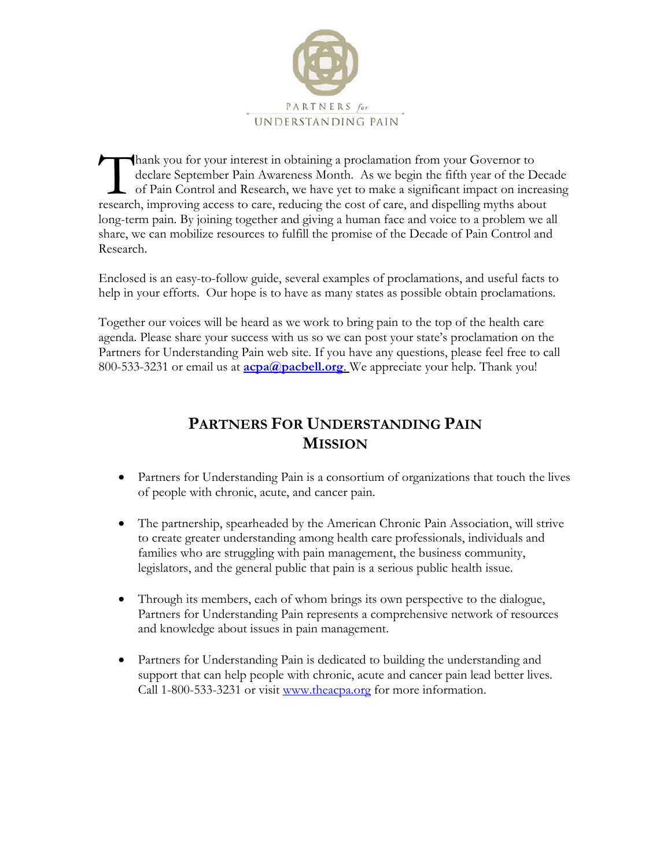

hank you for your interest in obtaining a proclamation from your Governor to declare September Pain Awareness Month. As we begin the fifth year of the Decade of Pain Control and Research, we have yet to make a significant impact on increasing Thank you for your interest in obtaining a proclamation from your Governor to declare September Pain Awareness Month. As we begin the fifth year of the Decord of Pain Control and Research, we have yet to make a significant long-term pain. By joining together and giving a human face and voice to a problem we all share, we can mobilize resources to fulfill the promise of the Decade of Pain Control and Research.

Enclosed is an easy-to-follow guide, several examples of proclamations, and useful facts to help in your efforts. Our hope is to have as many states as possible obtain proclamations.

Together our voices will be heard as we work to bring pain to the top of the health care agenda. Please share your success with us so we can post your state's proclamation on the Partners for Understanding Pain web site. If you have any questions, please feel free to call 800-533-3231 or email us at **[acpa@pacbell.org](mailto:acpa@pacbell.org)**. We appreciate your help. Thank you!

### **PARTNERS FOR UNDERSTANDING PAIN MISSION**

- Partners for Understanding Pain is a consortium of organizations that touch the lives of people with chronic, acute, and cancer pain.
- The partnership, spearheaded by the American Chronic Pain Association, will strive to create greater understanding among health care professionals, individuals and families who are struggling with pain management, the business community, legislators, and the general public that pain is a serious public health issue.
- Through its members, each of whom brings its own perspective to the dialogue, Partners for Understanding Pain represents a comprehensive network of resources and knowledge about issues in pain management.
- Partners for Understanding Pain is dedicated to building the understanding and support that can help people with chronic, acute and cancer pain lead better lives. Call 1-800-533-3231 or visit [www.theacpa.org](http://www.theacpa.org/) for more information.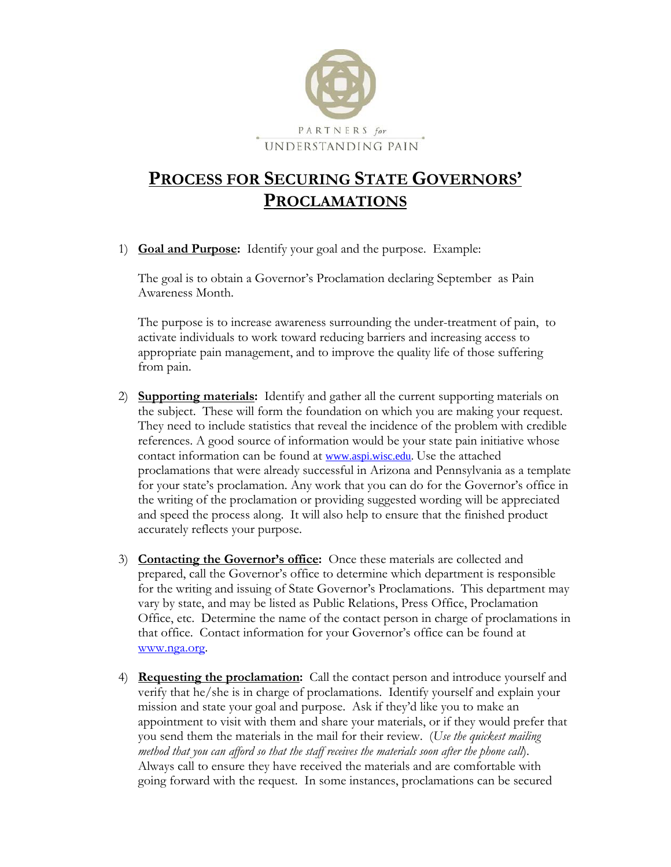

## **PROCESS FOR SECURING STATE GOVERNORS' PROCLAMATIONS**

1) **Goal and Purpose:** Identify your goal and the purpose. Example:

The goal is to obtain a Governor's Proclamation declaring September as Pain Awareness Month.

The purpose is to increase awareness surrounding the under-treatment of pain, to activate individuals to work toward reducing barriers and increasing access to appropriate pain management, and to improve the quality life of those suffering from pain.

- 2) **Supporting materials:** Identify and gather all the current supporting materials on the subject. These will form the foundation on which you are making your request. They need to include statistics that reveal the incidence of the problem with credible references. A good source of information would be your state pain initiative whose contact information can be found at [www.aspi.wisc.edu](http://www.aspi.wisc.edu/). Use the attached proclamations that were already successful in Arizona and Pennsylvania as a template for your state's proclamation. Any work that you can do for the Governor's office in the writing of the proclamation or providing suggested wording will be appreciated and speed the process along. It will also help to ensure that the finished product accurately reflects your purpose.
- 3) **Contacting the Governor's office:** Once these materials are collected and prepared, call the Governor's office to determine which department is responsible for the writing and issuing of State Governor's Proclamations. This department may vary by state, and may be listed as Public Relations, Press Office, Proclamation Office, etc. Determine the name of the contact person in charge of proclamations in that office. Contact information for your Governor's office can be found at [www.nga.org](http://www.nga.org/).
- 4) **Requesting the proclamation:** Call the contact person and introduce yourself and verify that he/she is in charge of proclamations. Identify yourself and explain your mission and state your goal and purpose. Ask if they'd like you to make an appointment to visit with them and share your materials, or if they would prefer that you send them the materials in the mail for their review. (*Use the quickest mailing method that you can afford so that the staff receives the materials soon after the phone call*). Always call to ensure they have received the materials and are comfortable with going forward with the request. In some instances, proclamations can be secured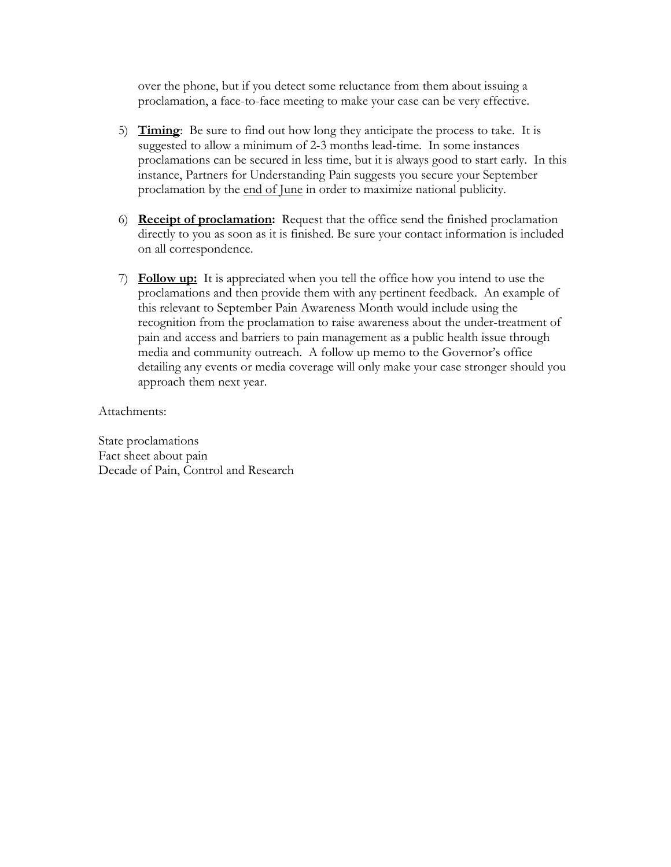over the phone, but if you detect some reluctance from them about issuing a proclamation, a face-to-face meeting to make your case can be very effective.

- 5) **Timing**: Be sure to find out how long they anticipate the process to take. It is suggested to allow a minimum of 2-3 months lead-time. In some instances proclamations can be secured in less time, but it is always good to start early. In this instance, Partners for Understanding Pain suggests you secure your September proclamation by the end of June in order to maximize national publicity.
- 6) **Receipt of proclamation:** Request that the office send the finished proclamation directly to you as soon as it is finished. Be sure your contact information is included on all correspondence.
- 7) **Follow up:** It is appreciated when you tell the office how you intend to use the proclamations and then provide them with any pertinent feedback. An example of this relevant to September Pain Awareness Month would include using the recognition from the proclamation to raise awareness about the under-treatment of pain and access and barriers to pain management as a public health issue through media and community outreach. A follow up memo to the Governor's office detailing any events or media coverage will only make your case stronger should you approach them next year.

Attachments:

State proclamations Fact sheet about pain Decade of Pain, Control and Research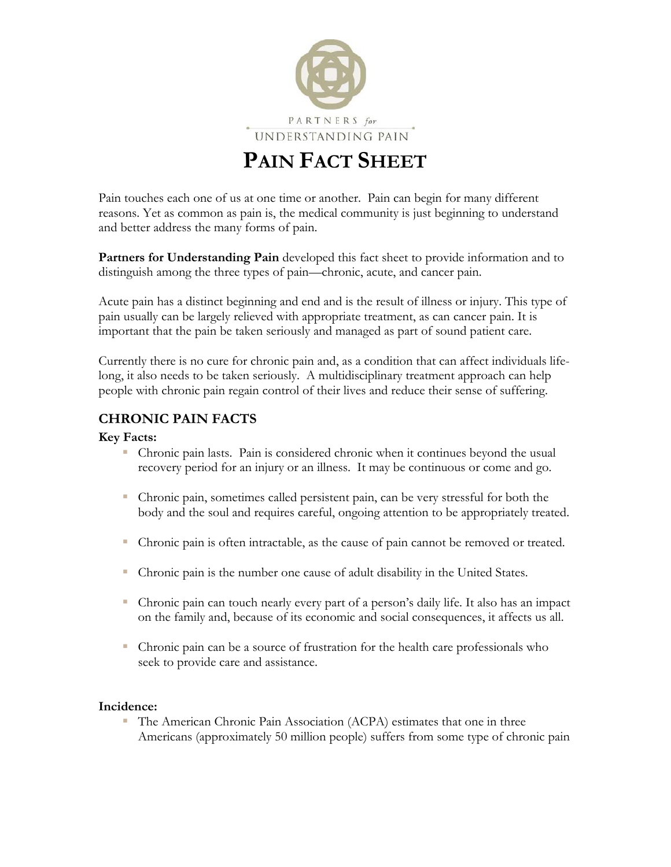

# **PAIN FACT SHEET**

Pain touches each one of us at one time or another. Pain can begin for many different reasons. Yet as common as pain is, the medical community is just beginning to understand and better address the many forms of pain.

**Partners for Understanding Pain** developed this fact sheet to provide information and to distinguish among the three types of pain—chronic, acute, and cancer pain.

Acute pain has a distinct beginning and end and is the result of illness or injury. This type of pain usually can be largely relieved with appropriate treatment, as can cancer pain. It is important that the pain be taken seriously and managed as part of sound patient care.

Currently there is no cure for chronic pain and, as a condition that can affect individuals lifelong, it also needs to be taken seriously. A multidisciplinary treatment approach can help people with chronic pain regain control of their lives and reduce their sense of suffering.

#### **CHRONIC PAIN FACTS**

#### **Key Facts:**

- Chronic pain lasts. Pain is considered chronic when it continues beyond the usual recovery period for an injury or an illness. It may be continuous or come and go.
- Chronic pain, sometimes called persistent pain, can be very stressful for both the body and the soul and requires careful, ongoing attention to be appropriately treated.
- Chronic pain is often intractable, as the cause of pain cannot be removed or treated.
- Chronic pain is the number one cause of adult disability in the United States.
- Chronic pain can touch nearly every part of a person's daily life. It also has an impact on the family and, because of its economic and social consequences, it affects us all.
- Chronic pain can be a source of frustration for the health care professionals who seek to provide care and assistance.

#### **Incidence:**

 The American Chronic Pain Association (ACPA) estimates that one in three Americans (approximately 50 million people) suffers from some type of chronic pain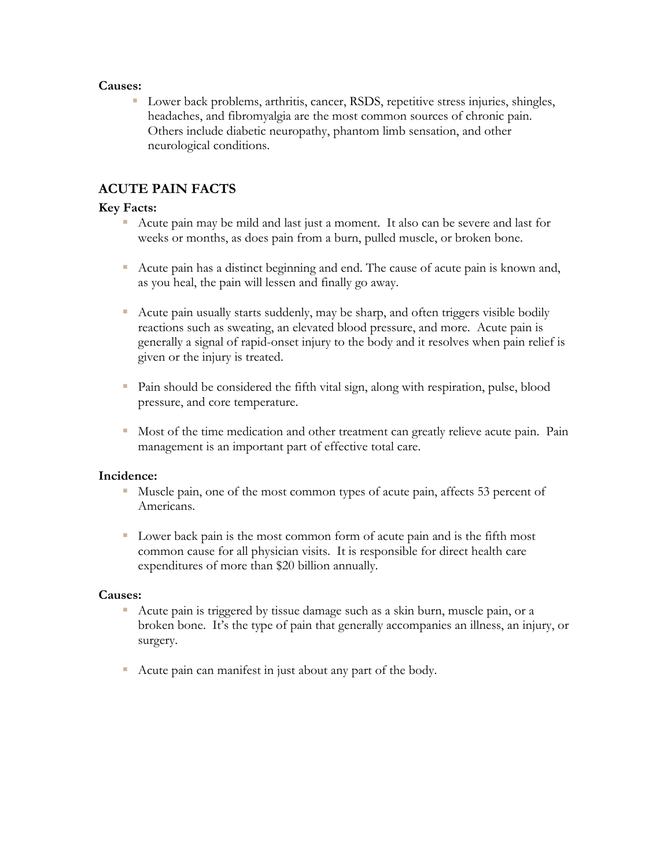#### **Causes:**

 Lower back problems, arthritis, cancer, RSDS, repetitive stress injuries, shingles, headaches, and fibromyalgia are the most common sources of chronic pain. Others include diabetic neuropathy, phantom limb sensation, and other neurological conditions.

#### **ACUTE PAIN FACTS**

#### **Key Facts:**

- Acute pain may be mild and last just a moment. It also can be severe and last for weeks or months, as does pain from a burn, pulled muscle, or broken bone.
- Acute pain has a distinct beginning and end. The cause of acute pain is known and, as you heal, the pain will lessen and finally go away.
- Acute pain usually starts suddenly, may be sharp, and often triggers visible bodily reactions such as sweating, an elevated blood pressure, and more. Acute pain is generally a signal of rapid-onset injury to the body and it resolves when pain relief is given or the injury is treated.
- Pain should be considered the fifth vital sign, along with respiration, pulse, blood pressure, and core temperature.
- Most of the time medication and other treatment can greatly relieve acute pain. Pain management is an important part of effective total care.

#### **Incidence:**

- Muscle pain, one of the most common types of acute pain, affects 53 percent of Americans.
- Lower back pain is the most common form of acute pain and is the fifth most common cause for all physician visits. It is responsible for direct health care expenditures of more than \$20 billion annually.

#### **Causes:**

- Acute pain is triggered by tissue damage such as a skin burn, muscle pain, or a broken bone. It's the type of pain that generally accompanies an illness, an injury, or surgery.
- Acute pain can manifest in just about any part of the body.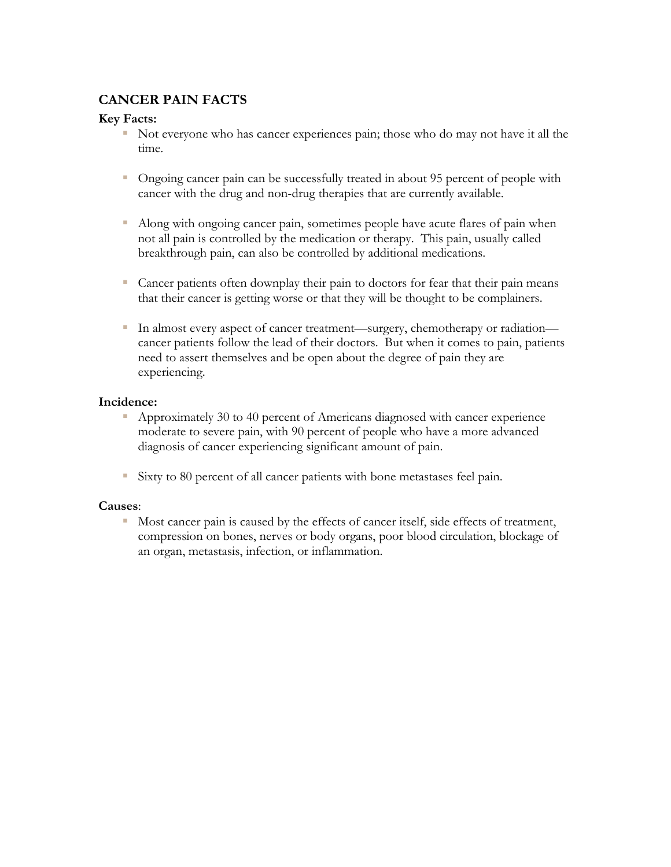#### **CANCER PAIN FACTS**

#### **Key Facts:**

- Not everyone who has cancer experiences pain; those who do may not have it all the time.
- Ongoing cancer pain can be successfully treated in about 95 percent of people with cancer with the drug and non-drug therapies that are currently available.
- Along with ongoing cancer pain, sometimes people have acute flares of pain when not all pain is controlled by the medication or therapy. This pain, usually called breakthrough pain, can also be controlled by additional medications.
- Cancer patients often downplay their pain to doctors for fear that their pain means that their cancer is getting worse or that they will be thought to be complainers.
- In almost every aspect of cancer treatment—surgery, chemotherapy or radiation cancer patients follow the lead of their doctors. But when it comes to pain, patients need to assert themselves and be open about the degree of pain they are experiencing.

#### **Incidence:**

- Approximately 30 to 40 percent of Americans diagnosed with cancer experience moderate to severe pain, with 90 percent of people who have a more advanced diagnosis of cancer experiencing significant amount of pain.
- Sixty to 80 percent of all cancer patients with bone metastases feel pain.

#### **Causes**:

Most cancer pain is caused by the effects of cancer itself, side effects of treatment, compression on bones, nerves or body organs, poor blood circulation, blockage of an organ, metastasis, infection, or inflammation.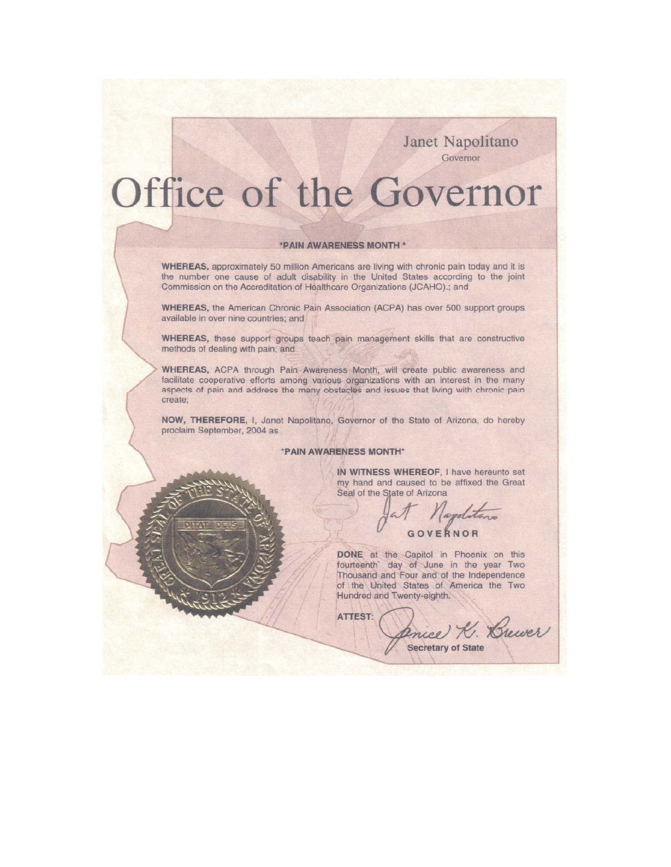Janet Napolitano Governor

# Office of the Governor

#### \*PAIN AWARENESS MONTH \*

WHEREAS, approximately 50 million Americans are living with chronic pain today and it is the number one cause of adult disability in the United States according to the joint Commission on the Accreditation of Healthcare Organizations (JCAHO).; and

**WHEREAS**, the American Chronic Pain Association (ACPA) has over 500 support groups available in over nine countries; and

WHEREAS, these support groups teach pain management skills that are constructive methods of dealing with pain; and

WHEREAS, ACPA through Pain Awareness Month, will create public awareness and facilitate cooperative efforts among various organizations with an interest in the many aspects of pain and address the many obstacles and issues that living with chronic pain create;

NOW, THEREFORE, I, Janet Napolitano, Governor of the State of Arizona, do hereby proclaim September, 2004 as

#### \*PAIN AWARENESS MONTH\*

IN WITNESS WHEREOF, I have hereunto set my hand and caused to be affixed the Great Seal of the State of Arizona

GOVERNOR

Anice K. Brewer

DONE at the Capitol in Phoenix on this

**Secretary of State** 

fourteenth' day of June in the year Two Thousand and Four and of the Independence of the United States of America the Two Hundred and Twenty-eighth.

ATTEST: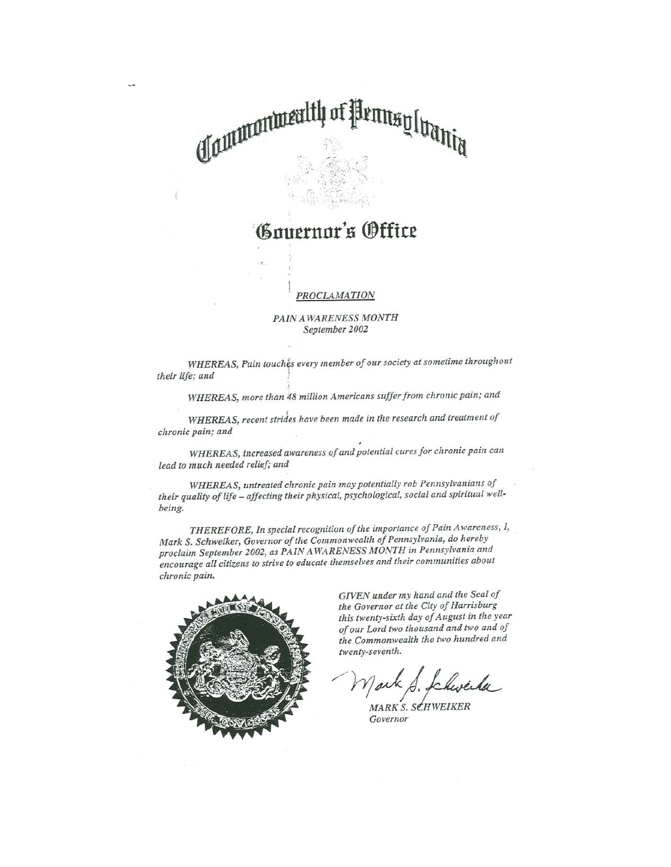# CLautenturealth Wennsylvania

## nuernor's (Dffice

#### **PROCLAMATION**

#### PAIN AWARENESS MONTH September 2002

WHEREAS, Pain touches every member of our society at sometime throughout their life; and

WHEREAS, more than 48 million Americans suffer from chronic pain; and

WHEREAS, recent strides have been made in the research and treatment of chronic pain; and

WHEREAS, increased awareness of and potential cures for chronic pain can lead to much needed relief; and

WHEREAS, untreated chronic pain may potentially rob Pennsylvanians of their quality of life - affecting their physical, psychological, social and spiritual wellbeing.

THEREFORE, In special recognition of the importance of Pain Awareness, I, Mark S. Schweiker, Governor of the Commonwealth of Pennsylvania, do hereby proclaim September 2002, as PAIN AWARENESS MONTH in Pennsylvania and encourage all citizens to strive to educate themselves and their communities about chronic pain.



GIVEN under my hand and the Seal of the Governor at the City of Harrisburg this twenty-sixth day of August in the year of our Lord two thousand and two and of the Commonwealth the two hundred and twenty-seventh.

MARK S. SCHWEIKER Governor